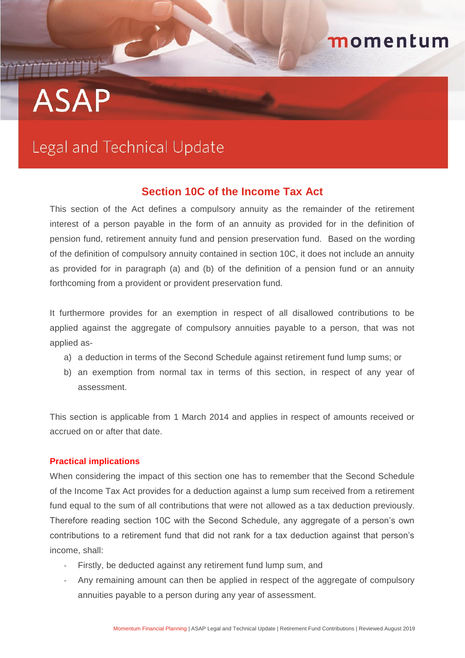# **CONTRACTOR ASAP**

## Legal and Technical Update

### **Section 10C of the Income Tax Act**

momentum

This section of the Act defines a compulsory annuity as the remainder of the retirement interest of a person payable in the form of an annuity as provided for in the definition of pension fund, retirement annuity fund and pension preservation fund. Based on the wording of the definition of compulsory annuity contained in section 10C, it does not include an annuity as provided for in paragraph (a) and (b) of the definition of a pension fund or an annuity forthcoming from a provident or provident preservation fund.

It furthermore provides for an exemption in respect of all disallowed contributions to be applied against the aggregate of compulsory annuities payable to a person, that was not applied as-

- a) a deduction in terms of the Second Schedule against retirement fund lump sums; or
- b) an exemption from normal tax in terms of this section, in respect of any year of assessment.

This section is applicable from 1 March 2014 and applies in respect of amounts received or accrued on or after that date.

#### **Practical implications**

When considering the impact of this section one has to remember that the Second Schedule of the Income Tax Act provides for a deduction against a lump sum received from a retirement fund equal to the sum of all contributions that were not allowed as a tax deduction previously. Therefore reading section 10C with the Second Schedule, any aggregate of a person's own contributions to a retirement fund that did not rank for a tax deduction against that person's income, shall:

- Firstly, be deducted against any retirement fund lump sum, and
- Any remaining amount can then be applied in respect of the aggregate of compulsory annuities payable to a person during any year of assessment.